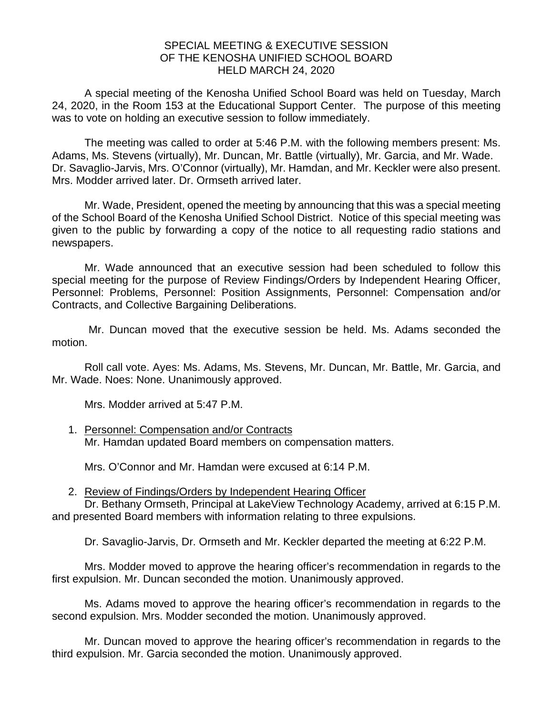## SPECIAL MEETING & EXECUTIVE SESSION OF THE KENOSHA UNIFIED SCHOOL BOARD HELD MARCH 24, 2020

A special meeting of the Kenosha Unified School Board was held on Tuesday, March 24, 2020, in the Room 153 at the Educational Support Center. The purpose of this meeting was to vote on holding an executive session to follow immediately.

The meeting was called to order at 5:46 P.M. with the following members present: Ms. Adams, Ms. Stevens (virtually), Mr. Duncan, Mr. Battle (virtually), Mr. Garcia, and Mr. Wade. Dr. Savaglio-Jarvis, Mrs. O'Connor (virtually), Mr. Hamdan, and Mr. Keckler were also present. Mrs. Modder arrived later. Dr. Ormseth arrived later.

Mr. Wade, President, opened the meeting by announcing that this was a special meeting of the School Board of the Kenosha Unified School District. Notice of this special meeting was given to the public by forwarding a copy of the notice to all requesting radio stations and newspapers.

Mr. Wade announced that an executive session had been scheduled to follow this special meeting for the purpose of Review Findings/Orders by Independent Hearing Officer, Personnel: Problems, Personnel: Position Assignments, Personnel: Compensation and/or Contracts, and Collective Bargaining Deliberations.

Mr. Duncan moved that the executive session be held. Ms. Adams seconded the motion.

Roll call vote. Ayes: Ms. Adams, Ms. Stevens, Mr. Duncan, Mr. Battle, Mr. Garcia, and Mr. Wade. Noes: None. Unanimously approved.

Mrs. Modder arrived at 5:47 P.M.

1. Personnel: Compensation and/or Contracts Mr. Hamdan updated Board members on compensation matters.

Mrs. O'Connor and Mr. Hamdan were excused at 6:14 P.M.

2. Review of Findings/Orders by Independent Hearing Officer

Dr. Bethany Ormseth, Principal at LakeView Technology Academy, arrived at 6:15 P.M. and presented Board members with information relating to three expulsions.

Dr. Savaglio-Jarvis, Dr. Ormseth and Mr. Keckler departed the meeting at 6:22 P.M.

Mrs. Modder moved to approve the hearing officer's recommendation in regards to the first expulsion. Mr. Duncan seconded the motion. Unanimously approved.

Ms. Adams moved to approve the hearing officer's recommendation in regards to the second expulsion. Mrs. Modder seconded the motion. Unanimously approved.

Mr. Duncan moved to approve the hearing officer's recommendation in regards to the third expulsion. Mr. Garcia seconded the motion. Unanimously approved.